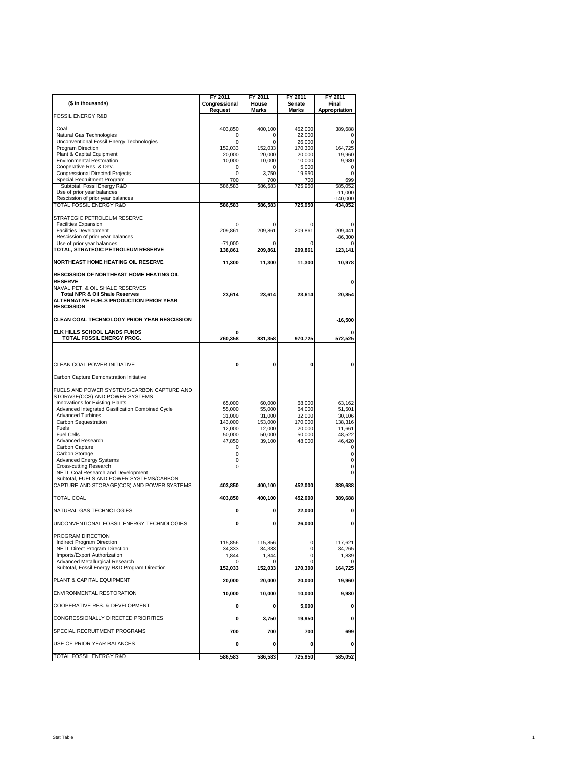| (\$ in thousands)                                                                  | FY 2011<br>Congressional | FY 2011<br>House  | FY 2011<br>Senate | FY 2011<br>Final     |
|------------------------------------------------------------------------------------|--------------------------|-------------------|-------------------|----------------------|
| <b>FOSSIL ENERGY R&amp;D</b>                                                       | Request                  | <b>Marks</b>      | Marks             | Appropriation        |
|                                                                                    |                          |                   |                   |                      |
| Coal<br>Natural Gas Technologies                                                   | 403,850<br>0             | 400,100<br>0      | 452,000<br>22,000 | 389,688<br>0         |
| Unconventional Fossil Energy Technologies                                          | $\mathbf 0$              | 0                 | 26,000            | $\mathbf 0$          |
| Program Direction                                                                  | 152,033                  | 152,033           | 170,300           | 164,725              |
| Plant & Capital Equipment<br><b>Environmental Restoration</b>                      | 20,000<br>10,000         | 20,000<br>10,000  | 20,000<br>10,000  | 19,960<br>9,980      |
| Cooperative Res. & Dev.                                                            | 0                        | 0                 | 5,000             | 0                    |
| <b>Congressional Directed Projects</b>                                             | 0                        | 3,750             | 19,950            | 0                    |
| Special Recruitment Program                                                        | 700                      | 700               | 700               | 699                  |
| Subtotal, Fossil Energy R&D<br>Use of prior year balances                          | 586,583                  | 586,583           | 725,950           | 585,052<br>$-11,000$ |
| Rescission of prior year balances                                                  |                          |                   |                   | $-140,000$           |
| TOTAL FOSSIL ENERGY R&D                                                            | 586,583                  | 586,583           | 725,950           | 434,052              |
| STRATEGIC PETROLEUM RESERVE                                                        |                          |                   |                   |                      |
| <b>Facilities Expansion</b>                                                        | 0                        | 0                 | 0                 | 0                    |
| <b>Facilities Development</b>                                                      | 209,861                  | 209,861           | 209,861           | 209,441              |
| Rescission of prior year balances                                                  |                          |                   |                   | $-86,300$            |
| Use of prior year balances                                                         | $-71,000$                | 0                 | 0                 | 0                    |
| TOTAL, STRATEGIC PETROLEUM RESERVE                                                 | 138,861                  | 209,861           | 209,861           | 123,141              |
| NORTHEAST HOME HEATING OIL RESERVE                                                 | 11,300                   | 11,300            | 11,300            | 10,978               |
| RESCISSION OF NORTHEAST HOME HEATING OIL                                           |                          |                   |                   |                      |
| <b>RESERVE</b><br>NAVAL PET. & OIL SHALE RESERVES                                  |                          |                   |                   | 0                    |
| <b>Total NPR &amp; Oil Shale Reserves</b>                                          | 23.614                   | 23.614            | 23,614            | 20,854               |
| ALTERNATIVE FUELS PRODUCTION PRIOR YEAR                                            |                          |                   |                   |                      |
| <b>RESCISSION</b>                                                                  |                          |                   |                   |                      |
| <b>CLEAN COAL TECHNOLOGY PRIOR YEAR RESCISSION</b>                                 |                          |                   |                   | $-16,500$            |
| ELK HILLS SCHOOL LANDS FUNDS                                                       | O                        |                   |                   | 0                    |
| TOTAL FOSSIL ENERGY PROG.                                                          | 760,358                  | 831,358           | 970.725           | $\overline{572,525}$ |
|                                                                                    |                          |                   |                   |                      |
|                                                                                    |                          |                   |                   |                      |
| CLEAN COAL POWER INITIATIVE                                                        | 0                        | 0                 | 0                 | 0                    |
| Carbon Capture Demonstration Initiative                                            |                          |                   |                   |                      |
|                                                                                    |                          |                   |                   |                      |
| FUELS AND POWER SYSTEMS/CARBON CAPTURE AND                                         |                          |                   |                   |                      |
| STORAGE(CCS) AND POWER SYSTEMS                                                     |                          |                   |                   |                      |
| Innovations for Existing Plants<br>Advanced Integrated Gasification Combined Cycle | 65,000<br>55,000         | 60,000<br>55,000  | 68,000<br>64,000  | 63,162<br>51,501     |
| <b>Advanced Turbines</b>                                                           | 31,000                   | 31,000            | 32,000            | 30,106               |
| Carbon Sequestration                                                               | 143,000                  | 153,000           | 170,000           | 138,316              |
| Fuels                                                                              | 12,000                   | 12,000            | 20,000            | 11,661               |
| <b>Fuel Cells</b><br><b>Advanced Research</b>                                      | 50,000<br>47,850         | 50,000<br>39,100  | 50,000<br>48,000  | 48,522<br>46,420     |
| Carbon Capture                                                                     | $\mathbf 0$              |                   |                   | 0                    |
| Carbon Storage                                                                     | 0                        |                   |                   | 0                    |
| <b>Advanced Energy Systems</b>                                                     | 0                        |                   |                   | 0                    |
| <b>Cross-cutting Research</b>                                                      | 0                        |                   |                   | 0                    |
| NETL Coal Research and Development<br>Subtotal, FUELS AND POWER SYSTEMS/CARBON     |                          |                   |                   | 0                    |
| CAPTURE AND STORAGE(CCS) AND POWER SYSTEMS                                         | 403,850                  | 400,100           | 452,000           | 389,688              |
| <b>TOTAL COAL</b>                                                                  | 403,850                  | 400,100           | 452,000           | 389,688              |
| NATURAL GAS TECHNOLOGIES                                                           | 0                        | 0                 | 22,000            | 0                    |
|                                                                                    |                          |                   |                   |                      |
| UNCONVENTIONAL FOSSIL ENERGY TECHNOLOGIES                                          |                          |                   | 26,000            |                      |
| PROGRAM DIRECTION                                                                  |                          |                   |                   |                      |
| <b>Indirect Program Direction</b><br><b>NETL Direct Program Direction</b>          | 115,856<br>34,333        | 115,856<br>34,333 | 0<br>0            | 117,621<br>34,265    |
| Imports/Export Authorization                                                       | 1,844                    | 1,844             | $\mathbf 0$       | 1,839                |
| Advanced Metallurgical Research                                                    | 0                        | 0                 | 0                 | 0                    |
| Subtotal, Fossil Energy R&D Program Direction                                      | 152,033                  | 152,033           | 170,300           | 164,725              |
| PLANT & CAPITAL EQUIPMENT                                                          | 20,000                   | 20,000            | 20,000            | 19,960               |
| ENVIRONMENTAL RESTORATION                                                          | 10,000                   | 10,000            | 10,000            | 9,980                |
| COOPERATIVE RES. & DEVELOPMENT                                                     | 0                        | 0                 | 5,000             | 0                    |
| CONGRESSIONALLY DIRECTED PRIORITIES                                                | 0                        | 3,750             | 19,950            | 0                    |
| SPECIAL RECRUITMENT PROGRAMS                                                       | 700                      | 700               | 700               | 699                  |
| USE OF PRIOR YEAR BALANCES                                                         | 0                        | 0                 | 0                 | 0                    |
| TOTAL FOSSIL ENERGY R&D                                                            | 586,583                  | 586,583           | 725,950           | 585,052              |
|                                                                                    |                          |                   |                   |                      |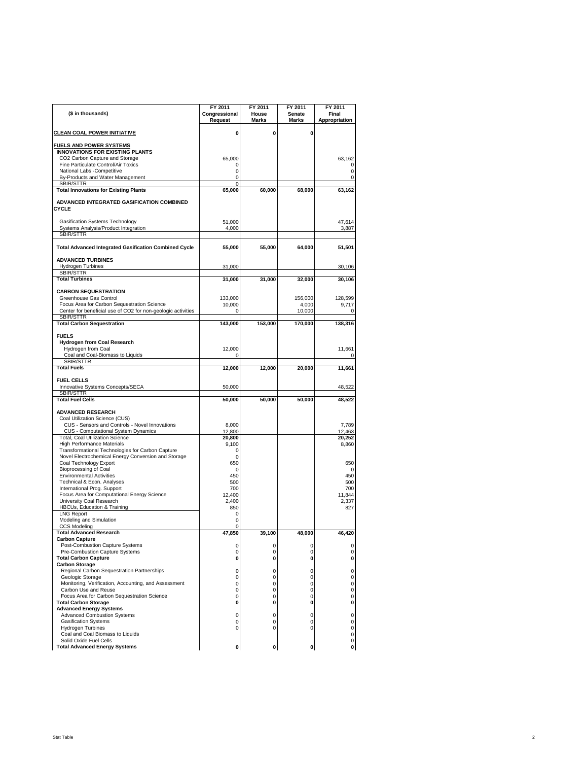|                                                                                                         | FY 2011                  | FY 2011<br>House | FY 2011          | FY 2011                |
|---------------------------------------------------------------------------------------------------------|--------------------------|------------------|------------------|------------------------|
| (\$ in thousands)                                                                                       | Congressional<br>Request | <b>Marks</b>     | Senate<br>Marks  | Final<br>Appropriation |
| <b>CLEAN COAL POWER INITIATIVE</b>                                                                      | 0                        | 0                | 0                |                        |
| <b>FUELS AND POWER SYSTEMS</b><br><b>INNOVATIONS FOR EXISTING PLANTS</b>                                |                          |                  |                  |                        |
| CO2 Carbon Capture and Storage                                                                          | 65,000                   |                  |                  | 63,162                 |
| Fine Particulate Control/Air Toxics<br>National Labs -Competitive                                       | 0<br>0                   |                  |                  | 0<br>0                 |
| By-Products and Water Management                                                                        | 0                        |                  |                  | $\mathbf 0$            |
| SBIR/STTR                                                                                               | 0                        |                  |                  |                        |
| <b>Total Innovations for Existing Plants</b>                                                            | 65,000                   | 60,000           | 68,000           | 63,162                 |
| ADVANCED INTEGRATED GASIFICATION COMBINED<br>CYCLE                                                      |                          |                  |                  |                        |
| Gasification Systems Technology                                                                         | 51,000                   |                  |                  | 47,614                 |
| Systems Analysis/Product Integration                                                                    | 4,000                    |                  |                  | 3,887                  |
| SBIR/STTR                                                                                               |                          |                  |                  |                        |
| <b>Total Advanced Integrated Gasification Combined Cycle</b>                                            | 55,000                   | 55,000           | 64,000           | 51,501                 |
| <b>ADVANCED TURBINES</b>                                                                                |                          |                  |                  |                        |
| Hydrogen Turbines<br>SBIR/STTR                                                                          | 31,000                   |                  |                  | 30,106                 |
| <b>Total Turbines</b>                                                                                   | 31,000                   | 31,000           | 32,000           | 30,106                 |
|                                                                                                         |                          |                  |                  |                        |
| <b>CARBON SEQUESTRATION</b><br>Greenhouse Gas Control                                                   |                          |                  |                  |                        |
| Focus Area for Carbon Sequestration Science                                                             | 133,000<br>10,000        |                  | 156,000<br>4,000 | 128,599<br>9,717       |
| Center for beneficial use of CO2 for non-geologic activities                                            | $\Omega$                 |                  | 10,000           | 0                      |
| SBIR/STTR                                                                                               |                          |                  |                  |                        |
| <b>Total Carbon Sequestration</b>                                                                       | 143,000                  | 153,000          | 170,000          | 138,316                |
| <b>FUELS</b>                                                                                            |                          |                  |                  |                        |
| <b>Hydrogen from Coal Research</b>                                                                      |                          |                  |                  |                        |
| Hydrogen from Coal                                                                                      | 12,000                   |                  |                  | 11,661                 |
| Coal and Coal-Biomass to Liquids<br>SBIR/STTR                                                           | 0                        |                  |                  | 0                      |
| <b>Total Fuels</b>                                                                                      | 12,000                   | 12.000           | 20,000           | 11,661                 |
|                                                                                                         |                          |                  |                  |                        |
| <b>FUEL CELLS</b>                                                                                       |                          |                  |                  |                        |
| Innovative Systems Concepts/SECA<br>SBIR/STTR                                                           | 50,000                   |                  |                  | 48,522                 |
| <b>Total Fuel Cells</b>                                                                                 | 50,000                   | 50,000           | 50,000           | 48,522                 |
|                                                                                                         |                          |                  |                  |                        |
| <b>ADVANCED RESEARCH</b>                                                                                |                          |                  |                  |                        |
| Coal Utilization Science (CUS)<br>CUS - Sensors and Controls - Novel Innovations                        | 8,000                    |                  |                  | 7,789                  |
| CUS - Computational System Dynamics                                                                     | 12,800                   |                  |                  | 12,463                 |
| <b>Total, Coal Utilization Science</b>                                                                  | 20,800                   |                  |                  | 20,252                 |
| <b>High Performance Materials</b>                                                                       | 9,100                    |                  |                  | 8,860                  |
| Transformational Technologies for Carbon Capture<br>Novel Electrochemical Energy Conversion and Storage | 0<br>$\mathbf 0$         |                  |                  |                        |
| Coal Technology Export                                                                                  | 650                      |                  |                  | 650                    |
| <b>Bioprocessing of Coal</b>                                                                            | 0                        |                  |                  | 0                      |
| <b>Environmental Activities</b>                                                                         | 450                      |                  |                  | 450                    |
| Technical & Econ. Analyses                                                                              | 500                      |                  |                  | 500                    |
| International Prog. Support<br>Focus Area for Computational Energy Science                              | 700<br>12,400            |                  |                  | 700<br>11,844          |
| University Coal Research                                                                                | 2,400                    |                  |                  | 2,337                  |
| HBCUs, Education & Training                                                                             | 850                      |                  |                  | 827                    |
| <b>LNG Report</b>                                                                                       | 0                        |                  |                  |                        |
| Modeling and Simulation<br><b>CCS Modeling</b>                                                          | 0<br>0                   |                  |                  |                        |
| <b>Total Advanced Research</b>                                                                          | 47.850                   | 39,100           | 48.000           | 46.420                 |
| <b>Carbon Capture</b>                                                                                   |                          |                  |                  |                        |
| <b>Post-Combustion Capture Systems</b>                                                                  | 0<br>0                   | 0                | 0<br>0           | 0<br>0                 |
| Pre-Combustion Capture Systems<br><b>Total Carbon Capture</b>                                           | 0                        | 0<br>0           | 0                | 0                      |
| <b>Carbon Storage</b>                                                                                   |                          |                  |                  |                        |
| Regional Carbon Sequestration Partnerships                                                              | 0                        | 0                | 0                | 0                      |
| Geologic Storage                                                                                        | 0                        | 0                | 0                | 0                      |
| Monitoring, Verification, Accounting, and Assessment<br>Carbon Use and Reuse                            | 0<br>0                   | 0<br>0           | 0<br>0           | 0<br>0                 |
| Focus Area for Carbon Sequestration Science                                                             | 0                        | 0                | 0                | 0                      |
| <b>Total Carbon Storage</b>                                                                             | 0                        | 0                | 0                | 0                      |
| <b>Advanced Energy Systems</b>                                                                          |                          |                  |                  |                        |
| <b>Advanced Combustion Systems</b>                                                                      | 0                        | 0                | $\mathbf 0$      | 0                      |
| <b>Gasification Systems</b><br><b>Hydrogen Turbines</b>                                                 | 0<br>0                   | 0<br>0           | 0<br>0           | 0<br>0                 |
| Coal and Coal Biomass to Liquids                                                                        |                          |                  |                  | 0                      |
| Solid Oxide Fuel Cells                                                                                  |                          |                  |                  | 0                      |
| <b>Total Advanced Energy Systems</b>                                                                    | 0                        | 0                | 0                | 0                      |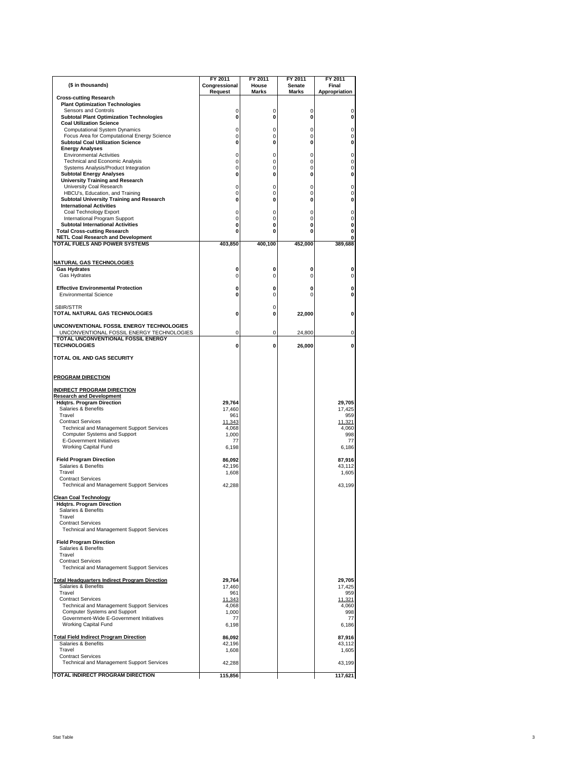|                                                                                        | FY 2011                  | FY 2011        | FY 2011         | FY 2011              |
|----------------------------------------------------------------------------------------|--------------------------|----------------|-----------------|----------------------|
| (\$ in thousands)                                                                      | Congressional<br>Request | House<br>Marks | Senate<br>Marks | Final                |
| <b>Cross-cutting Research</b>                                                          |                          |                |                 | <b>Appropriation</b> |
| <b>Plant Optimization Technologies</b>                                                 |                          |                |                 |                      |
| Sensors and Controls<br><b>Subtotal Plant Optimization Technologies</b>                | 0<br>0                   | 0<br>0         | 0<br>0          | 0<br>0               |
| <b>Coal Utilization Science</b>                                                        |                          |                |                 |                      |
| <b>Computational System Dynamics</b><br>Focus Area for Computational Energy Science    | 0<br>0                   | 0<br>0         | 0<br>0          | 0<br>0               |
| <b>Subtotal Coal Utilization Science</b>                                               | 0                        | 0              | 0               | 0                    |
| <b>Energy Analyses</b>                                                                 |                          |                |                 |                      |
| <b>Environmental Activities</b><br><b>Technical and Economic Analysis</b>              | 0<br>0                   | 0<br>0         | 0<br>0          | 0<br>0               |
| Systems Analysis/Product Integration                                                   | 0                        | 0              | 0               | 0                    |
| <b>Subtotal Energy Analyses</b>                                                        | 0                        | 0              | 0               | 0                    |
| <b>University Training and Research</b><br>University Coal Research                    | 0                        | 0              | 0               | 0                    |
| HBCU's, Education, and Training                                                        | 0                        | 0              | 0               | 0                    |
| Subtotal University Training and Research<br><b>International Activities</b>           | 0                        | 0              | 0               | 0                    |
| Coal Technology Export                                                                 | 0                        | 0              | 0               | 0                    |
| International Program Support                                                          | 0                        | 0              | 0               | 0                    |
| <b>Subtotal International Activities</b><br><b>Total Cross-cutting Research</b>        | 0<br>0                   | 0<br>0         | 0<br>0          | 0<br>0               |
| <b>NETL Coal Research and Development</b>                                              |                          |                |                 | 0                    |
| <b>TOTAL FUELS AND POWER SYSTEMS</b>                                                   | 403,850                  | 400,100        | 452,000         | 389,688              |
| <u>NATURAL GAS TECHNOLOGIES</u>                                                        |                          |                |                 |                      |
| <b>Gas Hydrates</b>                                                                    | 0                        | 0              | 0               | 0                    |
| Gas Hydrates                                                                           | 0                        | 0              | 0               | 0                    |
| <b>Effective Environmental Protection</b>                                              | 0                        | 0              | 0               | 0                    |
| Environmental Science                                                                  | 0                        | 0              | 0               | 0                    |
|                                                                                        |                          |                |                 |                      |
| SBIR/STTR<br>TOTAL NATURAL GAS TECHNOLOGIES                                            | 0                        | 0<br>0         | 22,000          | 0                    |
|                                                                                        |                          |                |                 |                      |
| UNCONVENTIONAL FOSSIL ENERGY TECHNOLOGIES<br>UNCONVENTIONAL FOSSIL ENERGY TECHNOLOGIES | 0                        | 0              | 24.800          | 0                    |
| TOTAL UNCONVENTIONAL FOSSIL ENERGY<br><b>TECHNOLOGIES</b>                              |                          |                |                 |                      |
|                                                                                        | 0                        | 0              | 26,000          | 0                    |
| TOTAL OIL AND GAS SECURITY                                                             |                          |                |                 |                      |
| <b>PROGRAM DIRECTION</b>                                                               |                          |                |                 |                      |
|                                                                                        |                          |                |                 |                      |
| <b>INDIRECT PROGRAM DIRECTION</b><br><b>Research and Development</b>                   |                          |                |                 |                      |
| <b>Hdgtrs. Program Direction</b>                                                       | 29,764                   |                |                 | 29,705               |
| Salaries & Benefits                                                                    | 17,460                   |                |                 | 17,425               |
| Travel<br><b>Contract Services</b>                                                     | 961<br>11,343            |                |                 | 959<br>11,321        |
| Technical and Management Support Services                                              | 4,068                    |                |                 | 4,060                |
| Computer Systems and Support<br>E-Government Initiatives                               | 1,000                    |                |                 | 998                  |
| Working Capital Fund                                                                   | 77<br>6,198              |                |                 | 77<br>6,186          |
|                                                                                        |                          |                |                 |                      |
| <b>Field Program Direction</b><br>Salaries & Benefits                                  | 86,092<br>42,196         |                |                 | 87,916<br>43,112     |
| Travel                                                                                 | 1.608                    |                |                 | 1,605                |
| <b>Contract Services</b>                                                               |                          |                |                 |                      |
| Technical and Management Support Services                                              | 42,288                   |                |                 | 43,199               |
| <b>Clean Coal Technology</b>                                                           |                          |                |                 |                      |
| <b>Hdgtrs. Program Direction</b><br>Salaries & Benefits                                |                          |                |                 |                      |
| Travel                                                                                 |                          |                |                 |                      |
| <b>Contract Services</b>                                                               |                          |                |                 |                      |
| <b>Technical and Management Support Services</b>                                       |                          |                |                 |                      |
| <b>Field Program Direction</b>                                                         |                          |                |                 |                      |
| Salaries & Benefits<br>Travel                                                          |                          |                |                 |                      |
| <b>Contract Services</b>                                                               |                          |                |                 |                      |
| Technical and Management Support Services                                              |                          |                |                 |                      |
| <b>Total Headquarters Indirect Program Direction</b>                                   | 29,764                   |                |                 | 29,705               |
| Salaries & Benefits                                                                    | 17,460                   |                |                 | 17,425               |
| Travel<br><b>Contract Services</b>                                                     | 961<br>11,343            |                |                 | 959<br>11,321        |
| Technical and Management Support Services                                              | 4,068                    |                |                 | 4,060                |
| Computer Systems and Support                                                           | 1.000                    |                |                 | 998                  |
| Government-Wide E-Government Initiatives<br><b>Working Capital Fund</b>                | 77<br>6,198              |                |                 | 77<br>6,186          |
|                                                                                        |                          |                |                 |                      |
| <b>Total Field Indirect Program Direction</b><br>Salaries & Benefits                   | 86,092                   |                |                 | 87,916               |
| Travel                                                                                 | 42,196<br>1,608          |                |                 | 43,112<br>1,605      |
| <b>Contract Services</b>                                                               |                          |                |                 |                      |
| <b>Technical and Management Support Services</b>                                       | 42,288                   |                |                 | 43,199               |
| TOTAL INDIRECT PROGRAM DIRECTION                                                       | 115,856                  |                |                 | 117,621              |

3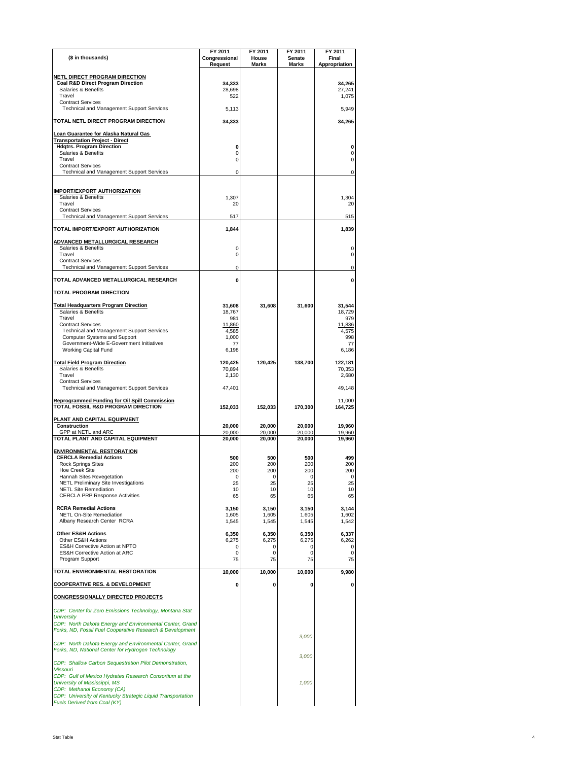| (\$ in thousands)                                                                                                     | FY 2011<br>Congressional | FY 2011<br>House | FY 2011<br>Senate | FY 2011<br>Final  |
|-----------------------------------------------------------------------------------------------------------------------|--------------------------|------------------|-------------------|-------------------|
|                                                                                                                       | Request                  | <b>Marks</b>     | <b>Marks</b>      | Appropriation     |
| NETL DIRECT PROGRAM DIRECTION<br><b>Coal R&amp;D Direct Program Direction</b>                                         | 34,333                   |                  |                   | 34,265            |
| Salaries & Benefits<br>Travel                                                                                         | 28,698<br>522            |                  |                   | 27,241<br>1,075   |
| <b>Contract Services</b><br><b>Technical and Management Support Services</b>                                          | 5,113                    |                  |                   | 5,949             |
| TOTAL NETL DIRECT PROGRAM DIRECTION                                                                                   | 34,333                   |                  |                   | 34,265            |
| Loan Guarantee for Alaska Natural Gas                                                                                 |                          |                  |                   |                   |
| <b>Transportation Project - Direct</b><br><b>Hdgtrs. Program Direction</b>                                            | 0                        |                  |                   | 0                 |
| Salaries & Benefits<br>Travel                                                                                         | 0<br>0                   |                  |                   | 0<br>0            |
| <b>Contract Services</b><br><b>Technical and Management Support Services</b>                                          | 0                        |                  |                   | 0                 |
|                                                                                                                       |                          |                  |                   |                   |
| <b>IMPORT/EXPORT AUTHORIZATION</b><br>Salaries & Benefits                                                             | 1,307                    |                  |                   | 1,304             |
| Travel<br><b>Contract Services</b>                                                                                    | 20                       |                  |                   | 20                |
| Technical and Management Support Services                                                                             | 517                      |                  |                   | 515               |
| TOTAL IMPORT/EXPORT AUTHORIZATION                                                                                     | 1,844                    |                  |                   | 1,839             |
| <b>ADVANCED METALLURGICAL RESEARCH</b><br>Salaries & Benefits                                                         | 0                        |                  |                   | 0                 |
| Travel<br><b>Contract Services</b>                                                                                    | 0                        |                  |                   | 0                 |
| Technical and Management Support Services                                                                             | 0                        |                  |                   | 0                 |
| TOTAL ADVANCED METALLURGICAL RESEARCH<br><b>TOTAL PROGRAM DIRECTION</b>                                               | 0                        |                  |                   | 0                 |
|                                                                                                                       |                          |                  |                   |                   |
| <b>Total Headquarters Program Direction</b><br>Salaries & Benefits                                                    | 31,608<br>18,767         | 31,608           | 31,600            | 31,544<br>18,729  |
| Travel<br><b>Contract Services</b>                                                                                    | 981<br>11,860            |                  |                   | 979<br>11,836     |
| Technical and Management Support Services<br>Computer Systems and Support                                             | 4,585<br>1,000           |                  |                   | 4,575<br>998      |
| Government-Wide E-Government Initiatives<br><b>Working Capital Fund</b>                                               | 77<br>6,198              |                  |                   | 77<br>6,186       |
| <b>Total Field Program Direction</b>                                                                                  | 120,425                  | 120,425          | 138,700           | 122,181           |
| Salaries & Benefits<br>Travel                                                                                         | 70,894<br>2,130          |                  |                   | 70,353<br>2,680   |
| <b>Contract Services</b><br>Technical and Management Support Services                                                 | 47,401                   |                  |                   | 49,148            |
| <b>Reprogrammed Funding for Oil Spill Commission</b><br>TOTAL FOSSIL R&D PROGRAM DIRECTION                            | 152,033                  | 152,033          | 170,300           | 11,000<br>164,725 |
| PLANT AND CAPITAL EQUIPMENT<br><b>Construction</b>                                                                    | 20,000                   | 20,000           | 20.000            | 19,960            |
| GPP at NETL and ARC<br>TOTAL PLANT AND CAPITAL EQUIPMENT                                                              | 20,000<br>20,000         | 20,000<br>20,000 | 20,000<br>20,000  | 19,960<br>19,960  |
| <b>ENVIRONMENTAL RESTORATION</b>                                                                                      |                          |                  |                   |                   |
| <b>CERCLA Remedial Actions</b><br><b>Rock Springs Sites</b>                                                           | 500<br>200               | 500<br>200       | 500<br>200        | 499<br>200        |
| <b>Hoe Creek Site</b><br>Hannah Sites Revegetation                                                                    | 200<br>0                 | 200<br>0         | 200<br>0          | 200<br>0          |
| <b>NETL Preliminary Site Investigations</b><br><b>NETL Site Remediation</b>                                           | 25<br>10                 | 25<br>10         | 25<br>10          | 25<br>10          |
| <b>CERCLA PRP Response Activities</b>                                                                                 | 65                       | 65               | 65                | 65                |
| <b>RCRA Remedial Actions</b><br><b>NETL On-Site Remediation</b>                                                       | 3,150<br>1,605           | 3,150<br>1,605   | 3,150<br>1,605    | 3,144<br>1,602    |
| Albany Research Center RCRA                                                                                           | 1,545                    | 1,545            | 1,545             | 1,542             |
| <b>Other ES&amp;H Actions</b><br>Other ES&H Actions                                                                   | 6,350<br>6,275           | 6,350<br>6,275   | 6,350<br>6,275    | 6,337<br>6,262    |
| ES&H Corrective Action at NPTO<br><b>ES&amp;H Corrective Action at ARC</b>                                            | 0<br>0                   | 0<br>0           | 0<br>0            | 0<br>0            |
| Program Support                                                                                                       | 75                       | 75               | 75                | 75                |
| <b>TOTAL ENVIRONMENTAL RESTORATION</b>                                                                                | 10,000                   | 10,000           | 10,000            | 9,980             |
| <b>COOPERATIVE RES. &amp; DEVELOPMENT</b>                                                                             | 0                        | 0                | 0                 | 0                 |
| <b>CONGRESSIONALLY DIRECTED PROJECTS</b>                                                                              |                          |                  |                   |                   |
| CDP: Center for Zero Emissions Technology, Montana Stat<br><b>University</b>                                          |                          |                  |                   |                   |
| CDP: North Dakota Energy and Environmental Center, Grand<br>Forks, ND, Fossil Fuel Cooperative Research & Development |                          |                  |                   |                   |
| CDP: North Dakota Energy and Environmental Center, Grand<br>Forks, ND, National Center for Hydrogen Technology        |                          |                  | 3,000             |                   |
| CDP: Shallow Carbon Sequestration Pilot Demonstration,                                                                |                          |                  | 3,000             |                   |
| <b>Missouri</b><br>CDP: Gulf of Mexico Hydrates Research Consortium at the                                            |                          |                  |                   |                   |
| <b>University of Mississippi, MS</b><br>CDP: Methanol Economy (CA)                                                    |                          |                  | 1,000             |                   |
| CDP: University of Kentucky Strategic Liquid Transportation<br>Fuels Derived from Coal (KY)                           |                          |                  |                   |                   |